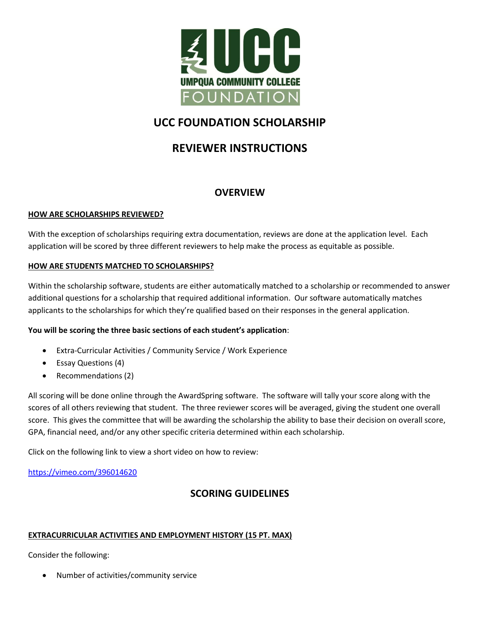

# **UCC FOUNDATION SCHOLARSHIP**

# **REVIEWER INSTRUCTIONS**

## **OVERVIEW**

### **HOW ARE SCHOLARSHIPS REVIEWED?**

With the exception of scholarships requiring extra documentation, reviews are done at the application level. Each application will be scored by three different reviewers to help make the process as equitable as possible.

### **HOW ARE STUDENTS MATCHED TO SCHOLARSHIPS?**

Within the scholarship software, students are either automatically matched to a scholarship or recommended to answer additional questions for a scholarship that required additional information. Our software automatically matches applicants to the scholarships for which they're qualified based on their responses in the general application.

### **You will be scoring the three basic sections of each student's application**:

- Extra-Curricular Activities / Community Service / Work Experience
- Essay Questions (4)
- Recommendations (2)

All scoring will be done online through the AwardSpring software. The software will tally your score along with the scores of all others reviewing that student. The three reviewer scores will be averaged, giving the student one overall score. This gives the committee that will be awarding the scholarship the ability to base their decision on overall score, GPA, financial need, and/or any other specific criteria determined within each scholarship.

Click on the following link to view a short video on how to review:

<https://vimeo.com/396014620>

# **SCORING GUIDELINES**

### **EXTRACURRICULAR ACTIVITIES AND EMPLOYMENT HISTORY (15 PT. MAX)**

Consider the following:

Number of activities/community service